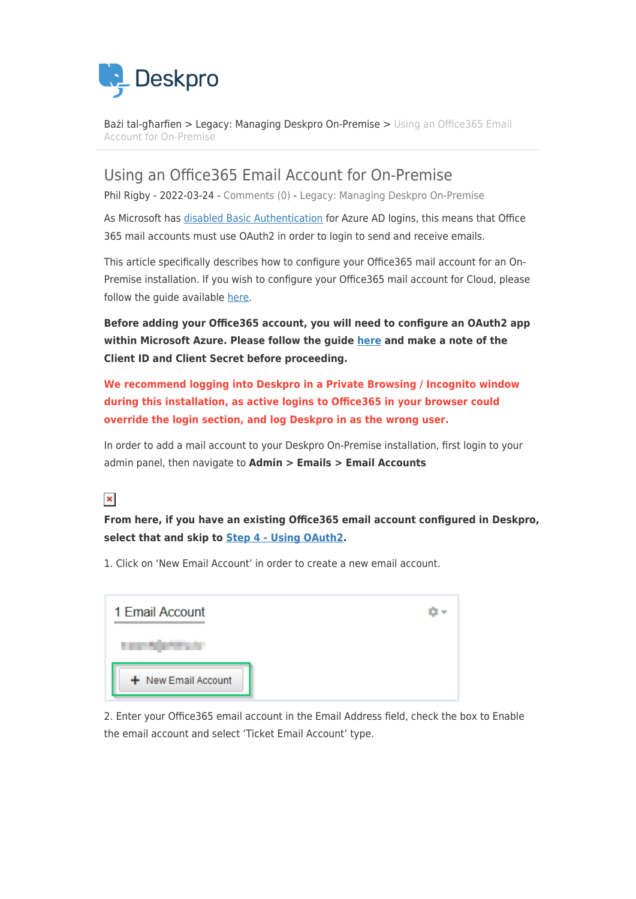

[Bażi tal-għarfien](https://support.deskpro.com/mt-MT/kb) > [Legacy: Managing Deskpro On-Premise](https://support.deskpro.com/mt-MT/kb/legacy-managing-deskpro-on-premise) > [Using an Office365 Email](https://support.deskpro.com/mt-MT/kb/articles/using-an-office365-email-account-for-on-premise) [Account for On-Premise](https://support.deskpro.com/mt-MT/kb/articles/using-an-office365-email-account-for-on-premise)

Using an Office365 Email Account for On-Premise

Phil Rigby - 2022-03-24 - [Comments \(0\)](#page--1-0) - [Legacy: Managing Deskpro On-Premise](https://support.deskpro.com/mt-MT/kb/legacy-managing-deskpro-on-premise)

As Microsoft has [disabled Basic Authentication](https://techcommunity.microsoft.com/t5/exchange-team-blog/improving-security-together/ba-p/805892) for Azure AD logins, this means that Office 365 mail accounts must use OAuth2 in order to login to send and receive emails.

This article specifically describes how to configure your Office365 mail account for an On-Premise installation. If you wish to configure your Office365 mail account for Cloud, please follow the guide available [here.](https://support.deskpro.com/kb/articles/779)

**Before adding your Office365 account, you will need to configure an OAuth2 app within Microsoft Azure. Please follow the guide [here](https://support.deskpro.com/kb/articles/777) and make a note of the Client ID and Client Secret before proceeding.**

**We recommend logging into Deskpro in a Private Browsing / Incognito window during this installation, as active logins to Office365 in your browser could override the login section, and log Deskpro in as the wrong user.**

In order to add a mail account to your Deskpro On-Premise installation, first login to your admin panel, then navigate to **Admin > Emails > Email Accounts**

### $\pmb{\times}$

**From here, if you have an existing Office365 email account configured in Deskpro, select that and skip to [Step 4 - Using OAuth2](#page--1-0).**

1. Click on 'New Email Account' in order to create a new email account.



2. Enter your Office365 email account in the Email Address field, check the box to Enable the email account and select 'Ticket Email Account' type.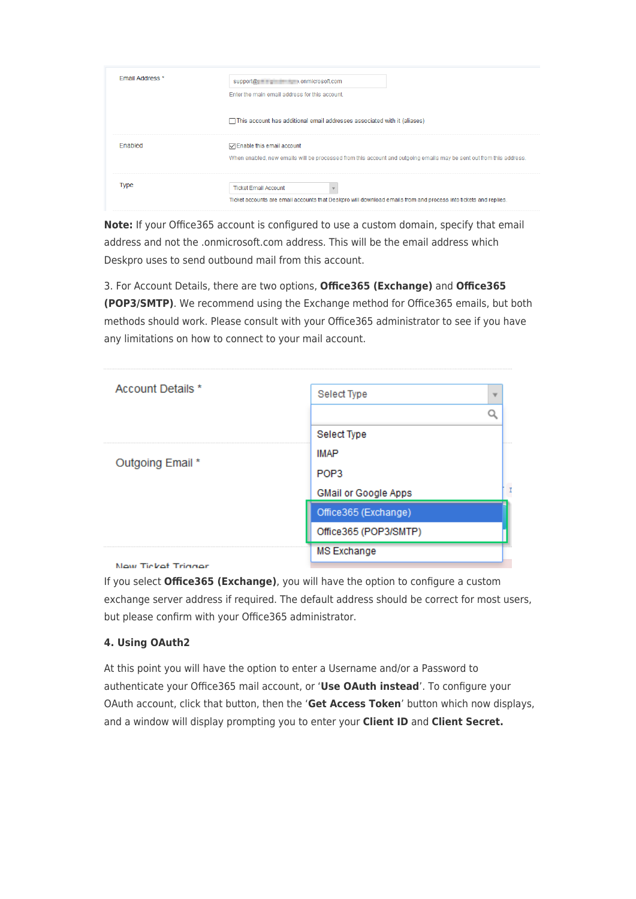| <b>Email Address *</b> | support@ entering the condition of the conditions of the conditions of the support of the conditions of the conditions of the conditions of the conditions of the conditions of the conditions of the conditions of the condit |
|------------------------|--------------------------------------------------------------------------------------------------------------------------------------------------------------------------------------------------------------------------------|
|                        | Enter the main email address for this account.                                                                                                                                                                                 |
|                        | □ This account has additional email addresses associated with it (aliases)                                                                                                                                                     |
| Enabled                | ○ Enable this email account<br>When enabled, new emails will be processed from this account and outgoing emails may be sent out from this address.                                                                             |
| Type                   | <b>Ticket Email Account</b><br>Ticket accounts are email accounts that Deskpro will download emails from and process into tickets and replies.                                                                                 |

**Note:** If your Office365 account is configured to use a custom domain, specify that email address and not the .onmicrosoft.com address. This will be the email address which Deskpro uses to send outbound mail from this account.

3. For Account Details, there are two options, **Office365 (Exchange)** and **Office365 (POP3/SMTP)**. We recommend using the Exchange method for Office365 emails, but both methods should work. Please consult with your Office365 administrator to see if you have any limitations on how to connect to your mail account.

| Account Details * | Select Type             |  |
|-------------------|-------------------------|--|
|                   |                         |  |
|                   | Select Type             |  |
|                   | <b>IMAP</b>             |  |
| Outgoing Email *  | POP <sub>3</sub>        |  |
|                   | GMail or Google Apps    |  |
|                   | Office365 (Exchange)    |  |
|                   | Office365 (POP3/SMTP)   |  |
|                   | .<br><b>MS Exchange</b> |  |
| . . <u>. .</u>    |                         |  |

**New Ticket Trinner** 

If you select **Office365 (Exchange)**, you will have the option to configure a custom exchange server address if required. The default address should be correct for most users, but please confirm with your Office365 administrator.

#### **4. Using OAuth2**

At this point you will have the option to enter a Username and/or a Password to authenticate your Office365 mail account, or '**Use OAuth instead**'. To configure your OAuth account, click that button, then the '**Get Access Token**' button which now displays, and a window will display prompting you to enter your **Client ID** and **Client Secret.**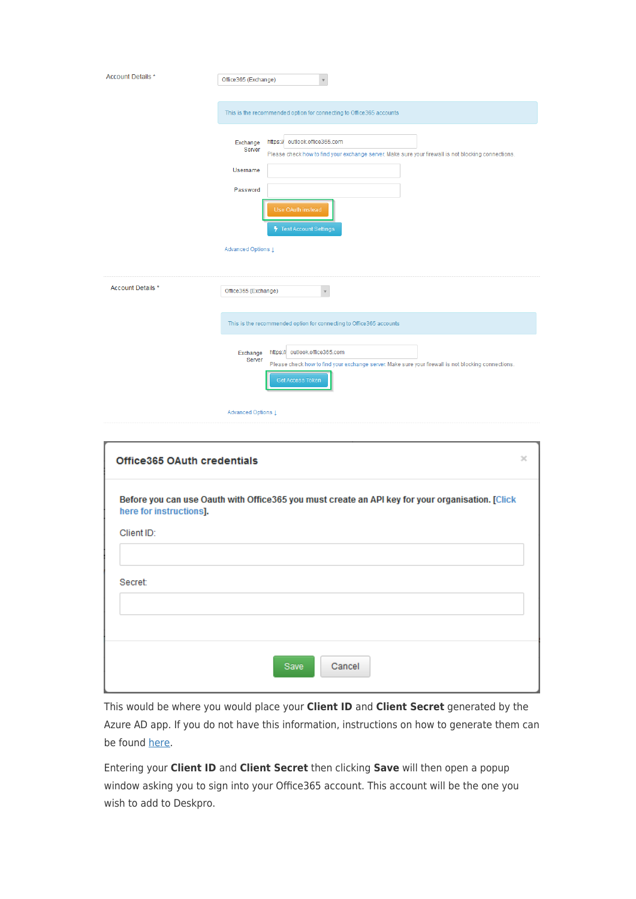| Account Details *                  | Office365 (Exchange)                                                                                                                                                            |
|------------------------------------|---------------------------------------------------------------------------------------------------------------------------------------------------------------------------------|
|                                    | This is the recommended option for connecting to Office365 accounts                                                                                                             |
|                                    | https:// outlook.office365.com<br>Exchange<br>Server<br>Please check how to find your exchange server. Make sure your firewall is not blocking connections.                     |
|                                    | Username                                                                                                                                                                        |
|                                    | Password                                                                                                                                                                        |
|                                    | Use OAuth instead<br>Test Account Settings                                                                                                                                      |
|                                    | Advanced Options Į                                                                                                                                                              |
| Account Details *                  | Office365 (Exchange)<br>$\mathbf{v}$                                                                                                                                            |
|                                    | This is the recommended option for connecting to Office365 accounts                                                                                                             |
|                                    | https:// outlook.office365.com<br>Exchange<br>Server<br>Please check how to find your exchange server. Make sure your firewall is not blocking connections.<br>Get Access Token |
|                                    | Advanced Options 1                                                                                                                                                              |
| <b>Office365 OAuth credentials</b> | ×                                                                                                                                                                               |
| here for instructions].            | Before you can use Oauth with Office365 you must create an API key for your organisation. [Click                                                                                |
| Client ID:                         |                                                                                                                                                                                 |
| Secret:                            |                                                                                                                                                                                 |
|                                    |                                                                                                                                                                                 |
|                                    | Cancel<br>Save                                                                                                                                                                  |

This would be where you would place your **Client ID** and **Client Secret** generated by the Azure AD app. If you do not have this information, instructions on how to generate them can be found [here](https://support.deskpro.com/kb/articles/777).

Entering your **Client ID** and **Client Secret** then clicking **Save** will then open a popup window asking you to sign into your Office365 account. This account will be the one you wish to add to Deskpro.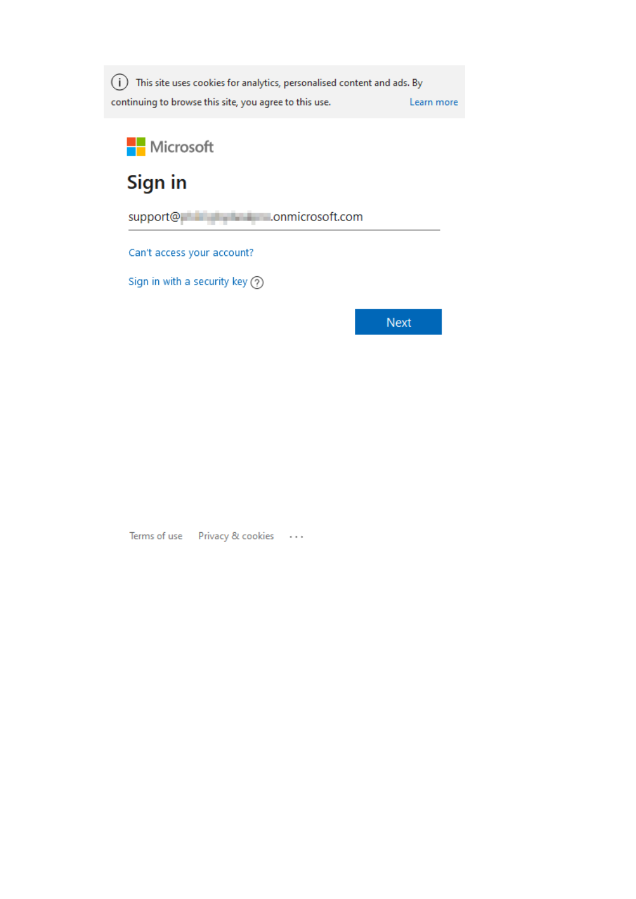(i) This site uses cookies for analytics, personalised content and ads. By continuing to browse this site, you agree to this use. Learn more



# Sign in

support@ **All Accounts** conmicrosoft.com

Can't access your account?

Sign in with a security key  $\circled{?}$ 

**Next** 

Terms of use Privacy & cookies ...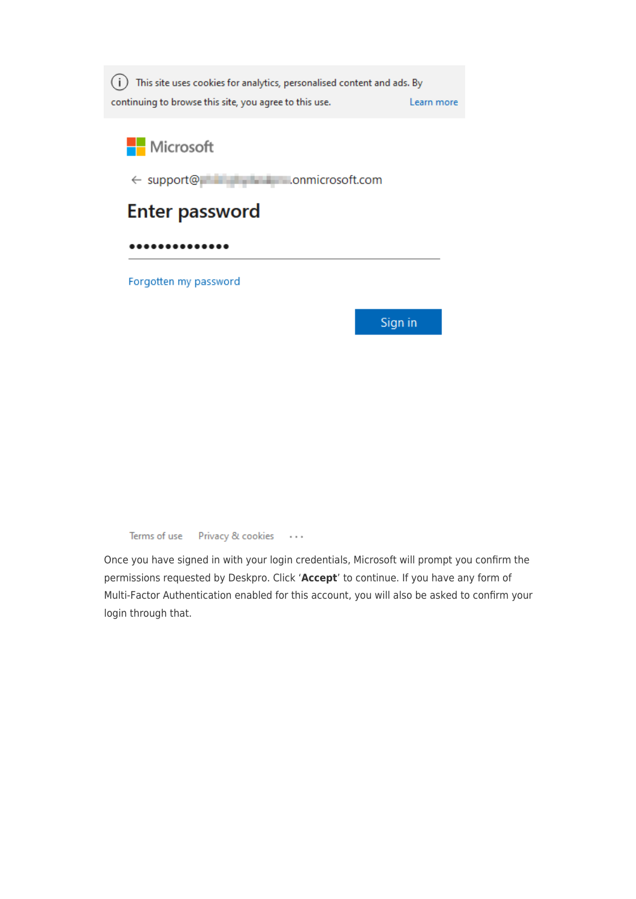

Microsoft

← support@ **Little Little Conmicrosoft.com** 

## **Enter password**

..........

Forgotten my password

Sign in

Terms of use Privacy & cookies  $\sim$   $\sim$   $\sim$ 

Once you have signed in with your login credentials, Microsoft will prompt you confirm the permissions requested by Deskpro. Click 'Accept' to continue. If you have any form of Multi-Factor Authentication enabled for this account, you will also be asked to confirm your login through that.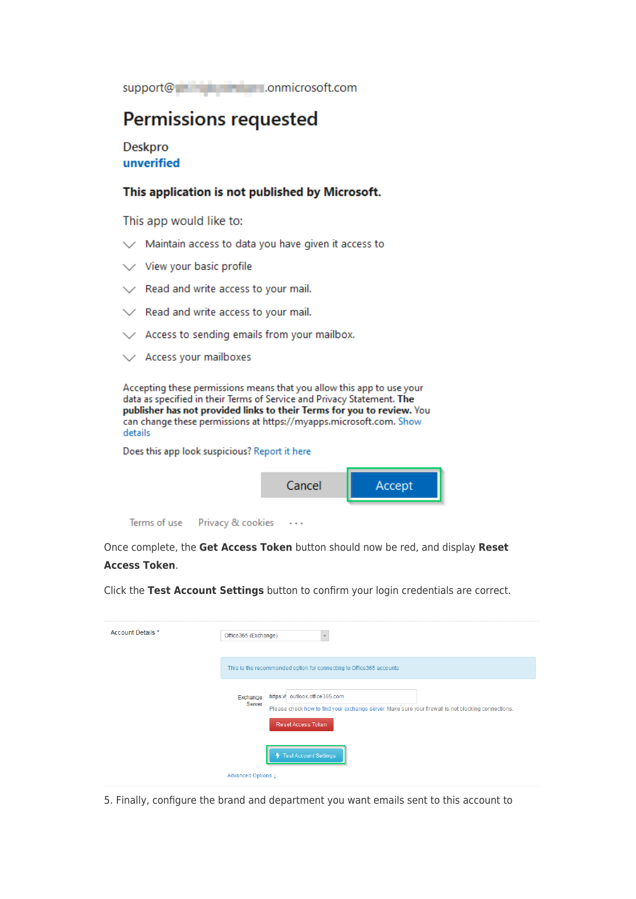support@ enterprise conmicrosoft.com

### **Permissions requested**

**Deskpro** unverified

#### This application is not published by Microsoft.

This app would like to:

- $\vee$  Maintain access to data you have given it access to
- $\vee$  View your basic profile
- $\angle$  Read and write access to your mail.
- / Read and write access to your mail.
- $\angle$  Access to sending emails from your mailbox.
- $\vee$  Access your mailboxes

Accepting these permissions means that you allow this app to use your data as specified in their Terms of Service and Privacy Statement. The publisher has not provided links to their Terms for you to review. You can change these permissions at https://myapps.microsoft.com. Show details

Does this app look suspicious? Report it here



Terms of use Privacy & cookies  $\cdots$ 

Once complete, the Get Access Token button should now be red, and display Reset **Access Token.** 

Click the Test Account Settings button to confirm your login credentials are correct.

| Account Details * | Office365 (Exchange)                                                                                                                                                                     |
|-------------------|------------------------------------------------------------------------------------------------------------------------------------------------------------------------------------------|
|                   | This is the recommended option for connecting to Office365 accounts                                                                                                                      |
|                   | https:// outlook.office365.com<br>Exchange<br>Server<br>Please check how to find your exchange server. Make sure your firewall is not blocking connections.<br><b>Reset Access Token</b> |
|                   | Test Account Settings                                                                                                                                                                    |
|                   | Advanced Options 1                                                                                                                                                                       |

5. Finally, configure the brand and department you want emails sent to this account to